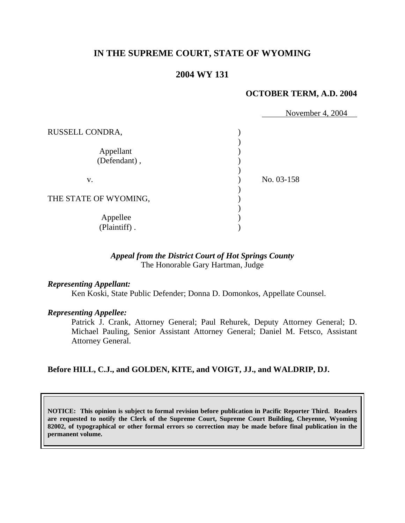# **IN THE SUPREME COURT, STATE OF WYOMING**

## **2004 WY 131**

#### **OCTOBER TERM, A.D. 2004**

|                           | November 4, 2004 |
|---------------------------|------------------|
| RUSSELL CONDRA,           |                  |
| Appellant<br>(Defendant), |                  |
| V.                        | No. 03-158       |
| THE STATE OF WYOMING,     |                  |
| Appellee<br>(Plaintiff).  |                  |

### *Appeal from the District Court of Hot Springs County* The Honorable Gary Hartman, Judge

### *Representing Appellant:*

Ken Koski, State Public Defender; Donna D. Domonkos, Appellate Counsel.

### *Representing Appellee:*

Patrick J. Crank, Attorney General; Paul Rehurek, Deputy Attorney General; D. Michael Pauling, Senior Assistant Attorney General; Daniel M. Fetsco, Assistant Attorney General.

#### **Before HILL, C.J., and GOLDEN, KITE, and VOIGT, JJ., and WALDRIP, DJ.**

**NOTICE: This opinion is subject to formal revision before publication in Pacific Reporter Third. Readers are requested to notify the Clerk of the Supreme Court, Supreme Court Building, Cheyenne, Wyoming 82002, of typographical or other formal errors so correction may be made before final publication in the permanent volume.**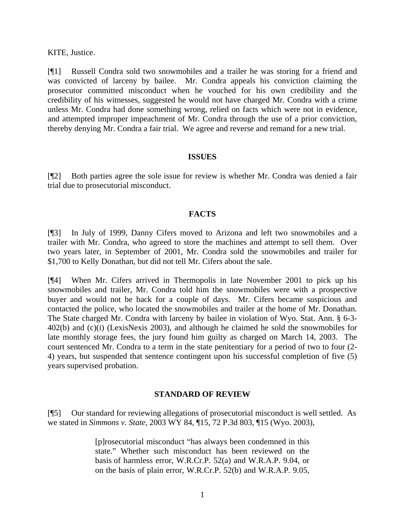KITE, Justice.

[¶1] Russell Condra sold two snowmobiles and a trailer he was storing for a friend and was convicted of larceny by bailee. Mr. Condra appeals his conviction claiming the prosecutor committed misconduct when he vouched for his own credibility and the credibility of his witnesses, suggested he would not have charged Mr. Condra with a crime unless Mr. Condra had done something wrong, relied on facts which were not in evidence, and attempted improper impeachment of Mr. Condra through the use of a prior conviction, thereby denying Mr. Condra a fair trial. We agree and reverse and remand for a new trial.

#### **ISSUES**

[¶2] Both parties agree the sole issue for review is whether Mr. Condra was denied a fair trial due to prosecutorial misconduct.

### **FACTS**

[¶3] In July of 1999, Danny Cifers moved to Arizona and left two snowmobiles and a trailer with Mr. Condra, who agreed to store the machines and attempt to sell them. Over two years later, in September of 2001, Mr. Condra sold the snowmobiles and trailer for \$1,700 to Kelly Donathan, but did not tell Mr. Cifers about the sale.

[¶4] When Mr. Cifers arrived in Thermopolis in late November 2001 to pick up his snowmobiles and trailer, Mr. Condra told him the snowmobiles were with a prospective buyer and would not be back for a couple of days. Mr. Cifers became suspicious and contacted the police, who located the snowmobiles and trailer at the home of Mr. Donathan. The State charged Mr. Condra with larceny by bailee in violation of Wyo. Stat. Ann. § 6-3- 402(b) and (c)(i) (LexisNexis 2003), and although he claimed he sold the snowmobiles for late monthly storage fees, the jury found him guilty as charged on March 14, 2003. The court sentenced Mr. Condra to a term in the state penitentiary for a period of two to four (2- 4) years, but suspended that sentence contingent upon his successful completion of five (5) years supervised probation.

### **STANDARD OF REVIEW**

[¶5] Our standard for reviewing allegations of prosecutorial misconduct is well settled. As we stated in *Simmons v. State,* 2003 WY 84*,* ¶15, 72 P.3d 803, ¶15 (Wyo. 2003),

> [p]rosecutorial misconduct "has always been condemned in this state." Whether such misconduct has been reviewed on the basis of harmless error, W.R.Cr.P. 52(a) and W.R.A.P. 9.04, or on the basis of plain error, W.R.Cr.P. 52(b) and W.R.A.P. 9.05,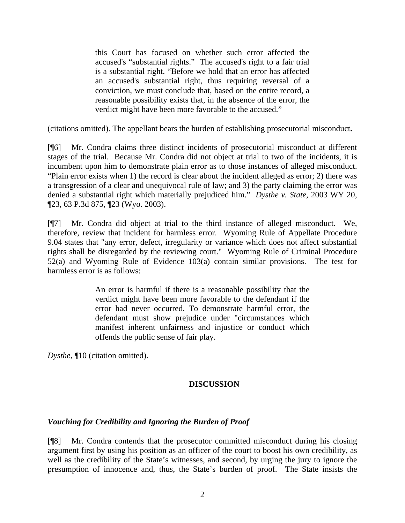this Court has focused on whether such error affected the accused's "substantial rights." The accused's right to a fair trial is a substantial right. "Before we hold that an error has affected an accused's substantial right, thus requiring reversal of a conviction, we must conclude that, based on the entire record, a reasonable possibility exists that, in the absence of the error, the verdict might have been more favorable to the accused."

(citations omitted). The appellant bears the burden of establishing prosecutorial misconduct**.** 

[¶6] Mr. Condra claims three distinct incidents of prosecutorial misconduct at different stages of the trial. Because Mr. Condra did not object at trial to two of the incidents, it is incumbent upon him to demonstrate plain error as to those instances of alleged misconduct. "Plain error exists when 1) the record is clear about the incident alleged as error; 2) there was a transgression of a clear and unequivocal rule of law; and 3) the party claiming the error was denied a substantial right which materially prejudiced him." *Dysthe v. State*, 2003 WY 20, ¶23, 63 P.3d 875, ¶23 (Wyo. 2003).

[¶7] Mr. Condra did object at trial to the third instance of alleged misconduct. We, therefore, review that incident for harmless error. Wyoming Rule of Appellate Procedure 9.04 states that "any error, defect, irregularity or variance which does not affect substantial rights shall be disregarded by the reviewing court." Wyoming Rule of Criminal Procedure 52(a) and Wyoming Rule of Evidence 103(a) contain similar provisions. The test for harmless error is as follows:

> An error is harmful if there is a reasonable possibility that the verdict might have been more favorable to the defendant if the error had never occurred. To demonstrate harmful error, the defendant must show prejudice under "circumstances which manifest inherent unfairness and injustice or conduct which offends the public sense of fair play.

*Dysthe*, ¶10 (citation omitted).

# **DISCUSSION**

# *Vouching for Credibility and Ignoring the Burden of Proof*

[¶8] Mr. Condra contends that the prosecutor committed misconduct during his closing argument first by using his position as an officer of the court to boost his own credibility, as well as the credibility of the State's witnesses, and second, by urging the jury to ignore the presumption of innocence and, thus, the State's burden of proof. The State insists the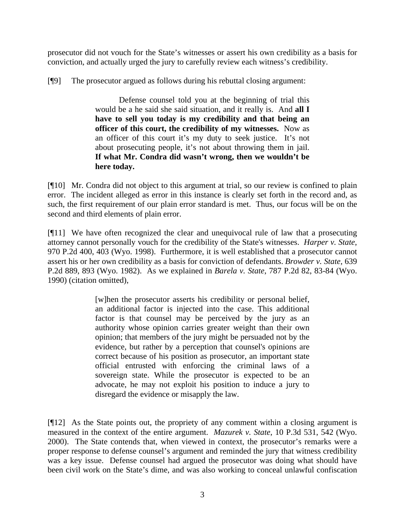prosecutor did not vouch for the State's witnesses or assert his own credibility as a basis for conviction, and actually urged the jury to carefully review each witness's credibility.

[¶9] The prosecutor argued as follows during his rebuttal closing argument:

Defense counsel told you at the beginning of trial this would be a he said she said situation, and it really is. And **all I have to sell you today is my credibility and that being an officer of this court, the credibility of my witnesses.** Now as an officer of this court it's my duty to seek justice. It's not about prosecuting people, it's not about throwing them in jail. **If what Mr. Condra did wasn't wrong, then we wouldn't be here today.** 

[¶10] Mr. Condra did not object to this argument at trial, so our review is confined to plain error. The incident alleged as error in this instance is clearly set forth in the record and, as such, the first requirement of our plain error standard is met. Thus, our focus will be on the second and third elements of plain error.

[¶11] We have often recognized the clear and unequivocal rule of law that a prosecuting attorney cannot personally vouch for the credibility of the State's witnesses. *Harper v. State*, 970 P.2d 400, 403 (Wyo. 1998). Furthermore, it is well established that a prosecutor cannot assert his or her own credibility as a basis for conviction of defendants. *Browder v. State,* 639 P.2d 889, 893 (Wyo. 1982). As we explained in *Barela v. State*, 787 P.2d 82, 83-84 (Wyo. 1990) (citation omitted),

> [w]hen the prosecutor asserts his credibility or personal belief, an additional factor is injected into the case. This additional factor is that counsel may be perceived by the jury as an authority whose opinion carries greater weight than their own opinion; that members of the jury might be persuaded not by the evidence, but rather by a perception that counsel's opinions are correct because of his position as prosecutor, an important state official entrusted with enforcing the criminal laws of a sovereign state. While the prosecutor is expected to be an advocate, he may not exploit his position to induce a jury to disregard the evidence or misapply the law.

[¶12] As the State points out, the propriety of any comment within a closing argument is measured in the context of the entire argument. *Mazurek v. State*, 10 P.3d 531, 542 (Wyo. 2000). The State contends that, when viewed in context, the prosecutor's remarks were a proper response to defense counsel's argument and reminded the jury that witness credibility was a key issue. Defense counsel had argued the prosecutor was doing what should have been civil work on the State's dime, and was also working to conceal unlawful confiscation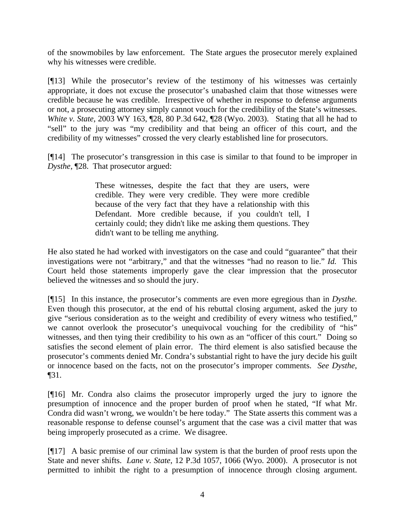of the snowmobiles by law enforcement. The State argues the prosecutor merely explained why his witnesses were credible.

[¶13] While the prosecutor's review of the testimony of his witnesses was certainly appropriate, it does not excuse the prosecutor's unabashed claim that those witnesses were credible because he was credible. Irrespective of whether in response to defense arguments or not, a prosecuting attorney simply cannot vouch for the credibility of the State's witnesses. *White v. State*, 2003 WY 163, ¶28, 80 P.3d 642, ¶28 (Wyo. 2003). Stating that all he had to "sell" to the jury was "my credibility and that being an officer of this court, and the credibility of my witnesses" crossed the very clearly established line for prosecutors.

[¶14] The prosecutor's transgression in this case is similar to that found to be improper in *Dysthe*, ¶28. That prosecutor argued:

> These witnesses, despite the fact that they are users, were credible. They were very credible. They were more credible because of the very fact that they have a relationship with this Defendant. More credible because, if you couldn't tell, I certainly could; they didn't like me asking them questions. They didn't want to be telling me anything.

He also stated he had worked with investigators on the case and could "guarantee" that their investigations were not "arbitrary," and that the witnesses "had no reason to lie." *Id.* This Court held those statements improperly gave the clear impression that the prosecutor believed the witnesses and so should the jury.

[¶15] In this instance, the prosecutor's comments are even more egregious than in *Dysthe.*  Even though this prosecutor, at the end of his rebuttal closing argument, asked the jury to give "serious consideration as to the weight and credibility of every witness who testified," we cannot overlook the prosecutor's unequivocal vouching for the credibility of "his" witnesses, and then tying their credibility to his own as an "officer of this court." Doing so satisfies the second element of plain error. The third element is also satisfied because the prosecutor's comments denied Mr. Condra's substantial right to have the jury decide his guilt or innocence based on the facts, not on the prosecutor's improper comments. *See Dysthe*, ¶31.

[¶16] Mr. Condra also claims the prosecutor improperly urged the jury to ignore the presumption of innocence and the proper burden of proof when he stated, "If what Mr. Condra did wasn't wrong, we wouldn't be here today." The State asserts this comment was a reasonable response to defense counsel's argument that the case was a civil matter that was being improperly prosecuted as a crime. We disagree.

[¶17] A basic premise of our criminal law system is that the burden of proof rests upon the State and never shifts. *Lane v. State*, 12 P.3d 1057, 1066 (Wyo. 2000). A prosecutor is not permitted to inhibit the right to a presumption of innocence through closing argument.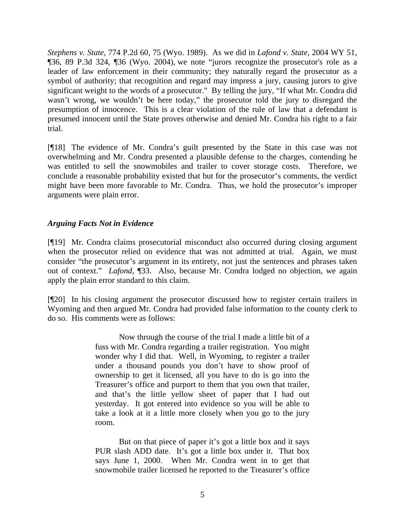*Stephens v. State*, 774 P.2d 60, 75 (Wyo. 1989). As we did in *Lafond v. State,* 2004 WY 51, ¶36, 89 P.3d 324, ¶36 (Wyo. 2004), we note "jurors recognize the prosecutor's role as a leader of law enforcement in their community; they naturally regard the prosecutor as a symbol of authority; that recognition and regard may impress a jury, causing jurors to give significant weight to the words of a prosecutor." By telling the jury, "If what Mr. Condra did wasn't wrong, we wouldn't be here today," the prosecutor told the jury to disregard the presumption of innocence. This is a clear violation of the rule of law that a defendant is presumed innocent until the State proves otherwise and denied Mr. Condra his right to a fair trial.

[¶18] The evidence of Mr. Condra's guilt presented by the State in this case was not overwhelming and Mr. Condra presented a plausible defense to the charges, contending he was entitled to sell the snowmobiles and trailer to cover storage costs. Therefore, we conclude a reasonable probability existed that but for the prosecutor's comments, the verdict might have been more favorable to Mr. Condra. Thus, we hold the prosecutor's improper arguments were plain error.

## *Arguing Facts Not in Evidence*

[¶19] Mr. Condra claims prosecutorial misconduct also occurred during closing argument when the prosecutor relied on evidence that was not admitted at trial. Again, we must consider "the prosecutor's argument in its entirety, not just the sentences and phrases taken out of context." *Lafond,* ¶33. Also, because Mr. Condra lodged no objection, we again apply the plain error standard to this claim.

[¶20] In his closing argument the prosecutor discussed how to register certain trailers in Wyoming and then argued Mr. Condra had provided false information to the county clerk to do so. His comments were as follows:

> Now through the course of the trial I made a little bit of a fuss with Mr. Condra regarding a trailer registration. You might wonder why I did that. Well, in Wyoming, to register a trailer under a thousand pounds you don't have to show proof of ownership to get it licensed, all you have to do is go into the Treasurer's office and purport to them that you own that trailer, and that's the little yellow sheet of paper that I had out yesterday. It got entered into evidence so you will be able to take a look at it a little more closely when you go to the jury room.

> But on that piece of paper it's got a little box and it says PUR slash ADD date. It's got a little box under it. That box says June 1, 2000. When Mr. Condra went in to get that snowmobile trailer licensed he reported to the Treasurer's office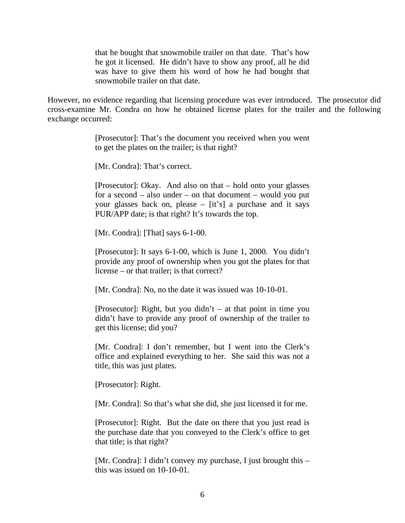that he bought that snowmobile trailer on that date. That's how he got it licensed. He didn't have to show any proof, all he did was have to give them his word of how he had bought that snowmobile trailer on that date.

However, no evidence regarding that licensing procedure was ever introduced. The prosecutor did cross-examine Mr. Condra on how he obtained license plates for the trailer and the following exchange occurred:

> [Prosecutor]: That's the document you received when you went to get the plates on the trailer; is that right?

[Mr. Condra]: That's correct.

[Prosecutor]: Okay. And also on that – hold onto your glasses for a second – also under – on that document – would you put your glasses back on, please – [it's] a purchase and it says PUR/APP date; is that right? It's towards the top.

[Mr. Condra]: [That] says 6-1-00.

[Prosecutor]: It says 6-1-00, which is June 1, 2000. You didn't provide any proof of ownership when you got the plates for that license – or that trailer; is that correct?

[Mr. Condra]: No, no the date it was issued was 10-10-01.

[Prosecutor]: Right, but you didn't  $-$  at that point in time you didn't have to provide any proof of ownership of the trailer to get this license; did you?

[Mr. Condra]: I don't remember, but I went into the Clerk's office and explained everything to her. She said this was not a title, this was just plates.

[Prosecutor]: Right.

[Mr. Condra]: So that's what she did, she just licensed it for me.

[Prosecutor]: Right. But the date on there that you just read is the purchase date that you conveyed to the Clerk's office to get that title; is that right?

[Mr. Condra]: I didn't convey my purchase, I just brought this – this was issued on 10-10-01.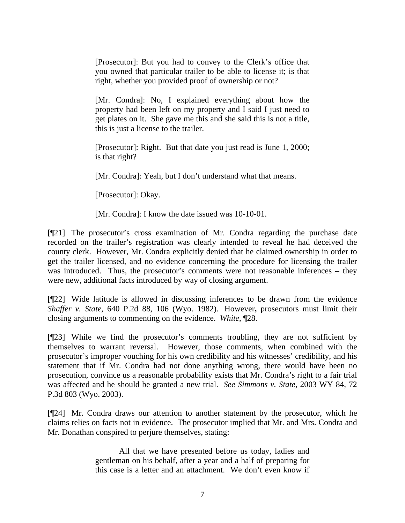[Prosecutor]: But you had to convey to the Clerk's office that you owned that particular trailer to be able to license it; is that right, whether you provided proof of ownership or not?

[Mr. Condra]: No, I explained everything about how the property had been left on my property and I said I just need to get plates on it. She gave me this and she said this is not a title, this is just a license to the trailer.

[Prosecutor]: Right. But that date you just read is June 1, 2000; is that right?

[Mr. Condra]: Yeah, but I don't understand what that means.

[Prosecutor]: Okay.

[Mr. Condra]: I know the date issued was 10-10-01.

[¶21] The prosecutor's cross examination of Mr. Condra regarding the purchase date recorded on the trailer's registration was clearly intended to reveal he had deceived the county clerk. However, Mr. Condra explicitly denied that he claimed ownership in order to get the trailer licensed, and no evidence concerning the procedure for licensing the trailer was introduced. Thus, the prosecutor's comments were not reasonable inferences – they were new, additional facts introduced by way of closing argument.

[¶22] Wide latitude is allowed in discussing inferences to be drawn from the evidence *Shaffer v. State*, 640 P.2d 88, 106 (Wyo. 1982). However**,** prosecutors must limit their closing arguments to commenting on the evidence. *White*, ¶28.

[¶23] While we find the prosecutor's comments troubling, they are not sufficient by themselves to warrant reversal. However, those comments, when combined with the prosecutor's improper vouching for his own credibility and his witnesses' credibility, and his statement that if Mr. Condra had not done anything wrong, there would have been no prosecution, convince us a reasonable probability exists that Mr. Condra's right to a fair trial was affected and he should be granted a new trial. *See Simmons v. State,* 2003 WY 84, 72 P.3d 803 (Wyo. 2003).

[¶24] Mr. Condra draws our attention to another statement by the prosecutor, which he claims relies on facts not in evidence. The prosecutor implied that Mr. and Mrs. Condra and Mr. Donathan conspired to perjure themselves, stating:

> All that we have presented before us today, ladies and gentleman on his behalf, after a year and a half of preparing for this case is a letter and an attachment. We don't even know if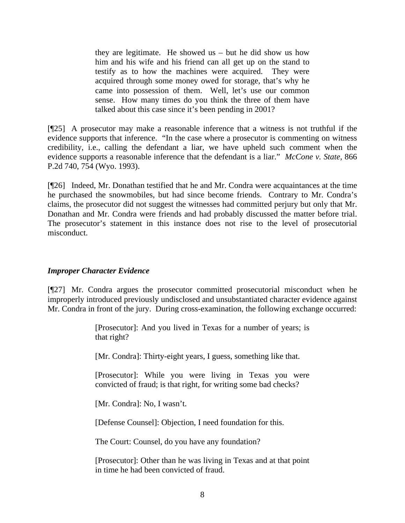they are legitimate. He showed us – but he did show us how him and his wife and his friend can all get up on the stand to testify as to how the machines were acquired. They were acquired through some money owed for storage, that's why he came into possession of them. Well, let's use our common sense. How many times do you think the three of them have talked about this case since it's been pending in 2001?

[¶25] A prosecutor may make a reasonable inference that a witness is not truthful if the evidence supports that inference. "In the case where a prosecutor is commenting on witness credibility, i.e., calling the defendant a liar, we have upheld such comment when the evidence supports a reasonable inference that the defendant is a liar." *McCone v. State*, 866 P.2d 740, 754 (Wyo. 1993).

[¶26] Indeed, Mr. Donathan testified that he and Mr. Condra were acquaintances at the time he purchased the snowmobiles, but had since become friends. Contrary to Mr. Condra's claims, the prosecutor did not suggest the witnesses had committed perjury but only that Mr. Donathan and Mr. Condra were friends and had probably discussed the matter before trial. The prosecutor's statement in this instance does not rise to the level of prosecutorial misconduct.

## *Improper Character Evidence*

[¶27] Mr. Condra argues the prosecutor committed prosecutorial misconduct when he improperly introduced previously undisclosed and unsubstantiated character evidence against Mr. Condra in front of the jury. During cross-examination, the following exchange occurred:

> [Prosecutor]: And you lived in Texas for a number of years; is that right?

[Mr. Condra]: Thirty-eight years, I guess, something like that.

[Prosecutor]: While you were living in Texas you were convicted of fraud; is that right, for writing some bad checks?

[Mr. Condra]: No, I wasn't.

[Defense Counsel]: Objection, I need foundation for this.

The Court: Counsel, do you have any foundation?

[Prosecutor]: Other than he was living in Texas and at that point in time he had been convicted of fraud.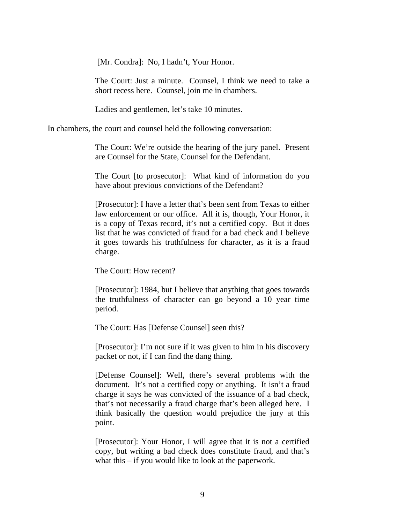[Mr. Condra]: No, I hadn't, Your Honor.

The Court: Just a minute. Counsel, I think we need to take a short recess here. Counsel, join me in chambers.

Ladies and gentlemen, let's take 10 minutes.

In chambers, the court and counsel held the following conversation:

The Court: We're outside the hearing of the jury panel. Present are Counsel for the State, Counsel for the Defendant.

The Court [to prosecutor]: What kind of information do you have about previous convictions of the Defendant?

[Prosecutor]: I have a letter that's been sent from Texas to either law enforcement or our office. All it is, though, Your Honor, it is a copy of Texas record, it's not a certified copy. But it does list that he was convicted of fraud for a bad check and I believe it goes towards his truthfulness for character, as it is a fraud charge.

The Court: How recent?

[Prosecutor]: 1984, but I believe that anything that goes towards the truthfulness of character can go beyond a 10 year time period.

The Court: Has [Defense Counsel] seen this?

[Prosecutor]: I'm not sure if it was given to him in his discovery packet or not, if I can find the dang thing.

[Defense Counsel]: Well, there's several problems with the document. It's not a certified copy or anything. It isn't a fraud charge it says he was convicted of the issuance of a bad check, that's not necessarily a fraud charge that's been alleged here. I think basically the question would prejudice the jury at this point.

[Prosecutor]: Your Honor, I will agree that it is not a certified copy, but writing a bad check does constitute fraud, and that's what this – if you would like to look at the paperwork.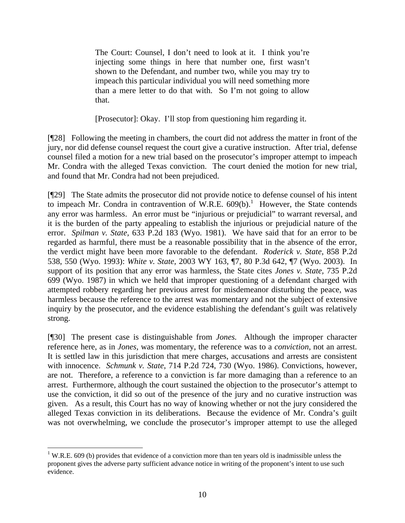The Court: Counsel, I don't need to look at it. I think you're injecting some things in here that number one, first wasn't shown to the Defendant, and number two, while you may try to impeach this particular individual you will need something more than a mere letter to do that with. So I'm not going to allow that.

[Prosecutor]: Okay. I'll stop from questioning him regarding it.

[¶28] Following the meeting in chambers, the court did not address the matter in front of the jury, nor did defense counsel request the court give a curative instruction. After trial, defense counsel filed a motion for a new trial based on the prosecutor's improper attempt to impeach Mr. Condra with the alleged Texas conviction. The court denied the motion for new trial, and found that Mr. Condra had not been prejudiced.

[¶29] The State admits the prosecutor did not provide notice to defense counsel of his intent to impeach Mr. Condra in contravention of W.R.E.  $609(b)$ .<sup>1</sup> However, the State contends any error was harmless. An error must be "injurious or prejudicial" to warrant reversal, and it is the burden of the party appealing to establish the injurious or prejudicial nature of the error. *Spilman v. State,* 633 P.2d 183 (Wyo. 1981). We have said that for an error to be regarded as harmful, there must be a reasonable possibility that in the absence of the error, the verdict might have been more favorable to the defendant. *Roderick v. State*, 858 P.2d 538, 550 (Wyo. 1993): *White v. State,* 2003 WY 163, ¶7, 80 P.3d 642, ¶7 (Wyo. 2003). In support of its position that any error was harmless, the State cites *Jones v. State,* 735 P.2d 699 (Wyo. 1987) in which we held that improper questioning of a defendant charged with attempted robbery regarding her previous arrest for misdemeanor disturbing the peace, was harmless because the reference to the arrest was momentary and not the subject of extensive inquiry by the prosecutor, and the evidence establishing the defendant's guilt was relatively strong.

[¶30] The present case is distinguishable from *Jones.* Although the improper character reference here, as in *Jones,* was momentary, the reference was to a *conviction*, not an arrest. It is settled law in this jurisdiction that mere charges, accusations and arrests are consistent with innocence. *Schmunk v. State*, 714 P.2d 724, 730 (Wyo. 1986). Convictions, however, are not. Therefore, a reference to a conviction is far more damaging than a reference to an arrest. Furthermore, although the court sustained the objection to the prosecutor's attempt to use the conviction, it did so out of the presence of the jury and no curative instruction was given. As a result, this Court has no way of knowing whether or not the jury considered the alleged Texas conviction in its deliberations. Because the evidence of Mr. Condra's guilt was not overwhelming, we conclude the prosecutor's improper attempt to use the alleged

<sup>&</sup>lt;sup>1</sup> W.R.E. 609 (b) provides that evidence of a conviction more than ten years old is inadmissible unless the proponent gives the adverse party sufficient advance notice in writing of the proponent's intent to use such evidence.